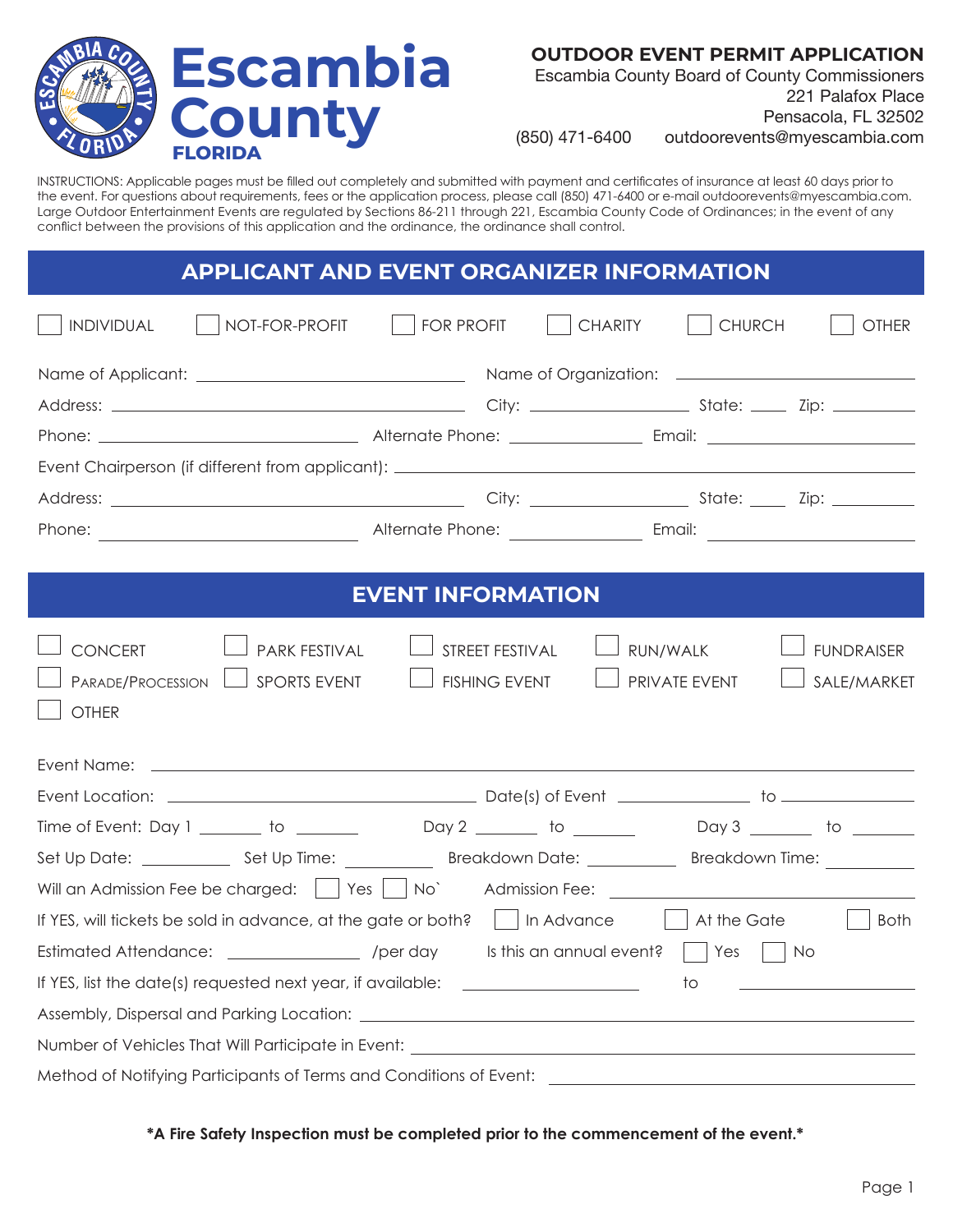

**OUTDOOR EVENT PERMIT APPLICATION** 

Escambia County Board of County Commissioners 221 Palafox Place Pensacola, FL 32502

(850) 471-6400 [outdoorevents@myescambia.com](mailto:outdoorevents@myescambia.com)

INSTRUCTIONS: Applicable pages must be filled out completely and submitted with payment and certificates of insurance at least 60 days prior to the event. For questions about requirements, fees or the application process, please call (850) 471-6400 or e-mail [outdoorevents@myescambia.com.](mailto:outdoorevents@myescambia.com) Large Outdoor Entertainment Events are regulated by Sections 86-211 through 221, Escambia County Code of Ordinances; in the event of any conflict between the provisions of this application and the ordinance, the ordinance shall control.

## **APPLICANT & EVENT ORGANIZER INFORMATION APPLICANT AND EVENT ORGANIZER INFORMATION**

|  | Alternate Phone: <u>Alternate Phone:</u> |  |  |
|--|------------------------------------------|--|--|
|  |                                          |  |  |
|  | <b>EVENT INEODMATION</b>                 |  |  |

### **EVENT INFORMATION EVENT INFORMATION**

| CONCERT<br>PARK FESTIVAL<br>PARADE/PROCESSION<br><b>SPORTS EVENT</b><br><b>OTHER</b>          | STREET FESTIVAL<br><b>FISHING EVENT</b> | RUN/WALK<br>PRIVATE EVENT                    | <b>FUNDRAISER</b><br>SALE/MARKET |
|-----------------------------------------------------------------------------------------------|-----------------------------------------|----------------------------------------------|----------------------------------|
|                                                                                               |                                         |                                              |                                  |
|                                                                                               |                                         |                                              |                                  |
| Time of Event: Day 1 ________ to _________ Day 2 _______ to ________ Day 3 _______ to _______ |                                         |                                              |                                  |
|                                                                                               |                                         |                                              | Breakdown Time: Network          |
| Will an Admission Fee be charged:     Yes     No`                                             |                                         |                                              |                                  |
| If YES, will tickets be sold in advance, at the gate or both?       In Advance                |                                         |                                              | At the Gate<br>Both              |
| Estimated Attendance: ___________________ /per day                                            |                                         | Is this an annual event? $\vert$ $\vert$ Yes | $\overline{\phantom{0}}$ No      |
| If YES, list the date(s) requested next year, if available: ____________________              |                                         | to                                           |                                  |
|                                                                                               |                                         |                                              |                                  |
|                                                                                               |                                         |                                              |                                  |
| Method of Notifying Participants of Terms and Conditions of Event: ______________             |                                         |                                              |                                  |

**\*A Fire Safety Inspection must be completed prior to the commencement of the event.\***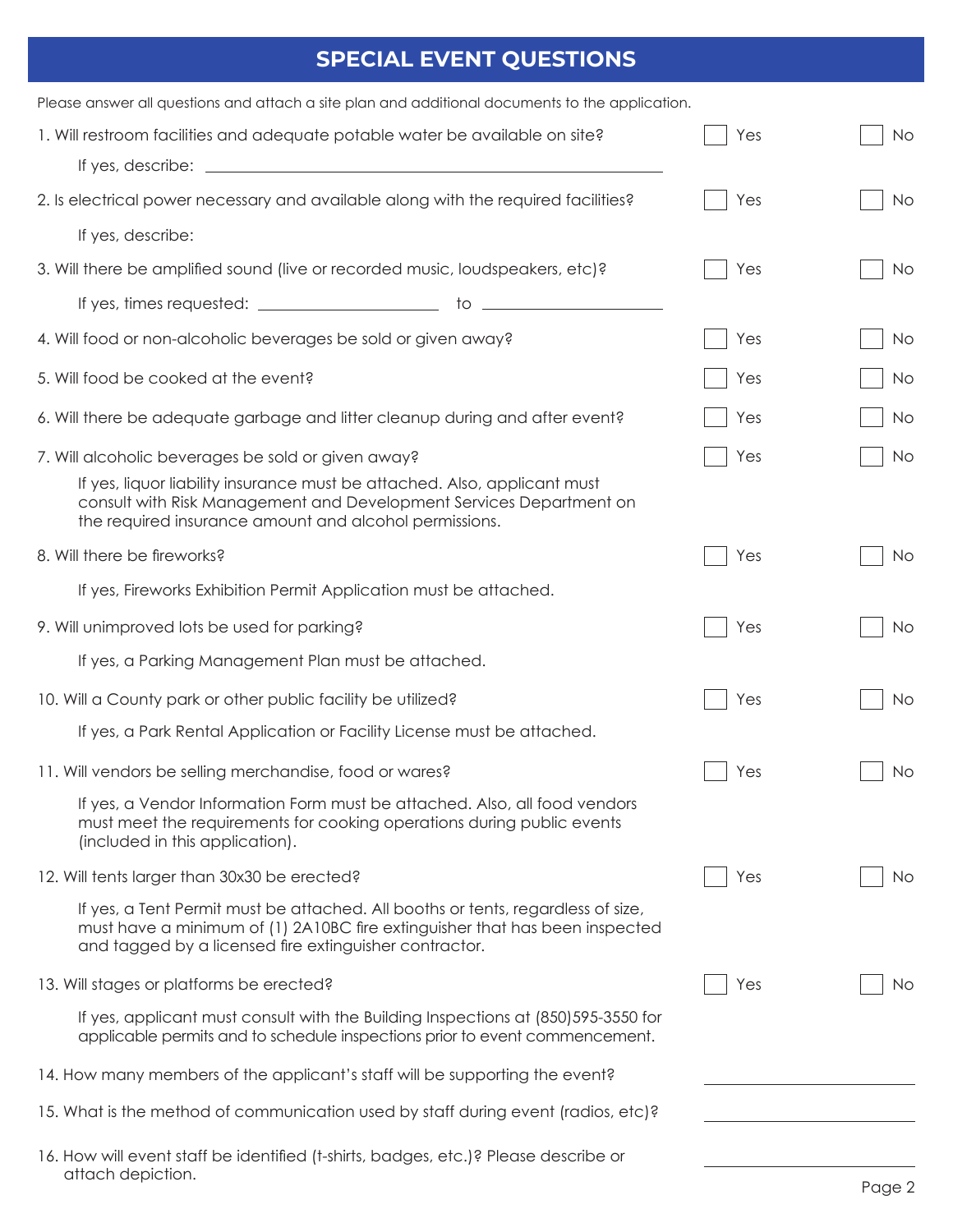# **SPECIAL EVENT QUESTIONS**

| Please answer all questions and attach a site plan and additional documents to the application.                                                                                                                           |     |     |
|---------------------------------------------------------------------------------------------------------------------------------------------------------------------------------------------------------------------------|-----|-----|
| 1. Will restroom facilities and adequate potable water be available on site?<br>If yes, describe: $\sqrt{ }$                                                                                                              | Yes | No. |
| 2. Is electrical power necessary and available along with the required facilities?                                                                                                                                        | Yes | No  |
| If yes, describe:                                                                                                                                                                                                         |     |     |
| 3. Will there be amplified sound (live or recorded music, loudspeakers, etc)?                                                                                                                                             | Yes | No  |
|                                                                                                                                                                                                                           |     |     |
| 4. Will food or non-alcoholic beverages be sold or given away?                                                                                                                                                            | Yes | No  |
| 5. Will food be cooked at the event?                                                                                                                                                                                      | Yes | No. |
| 6. Will there be adequate garbage and litter cleanup during and after event?                                                                                                                                              | Yes | No. |
| 7. Will alcoholic beverages be sold or given away?                                                                                                                                                                        | Yes | No  |
| If yes, liquor liability insurance must be attached. Also, applicant must<br>consult with Risk Management and Development Services Department on<br>the required insurance amount and alcohol permissions.                |     |     |
| 8. Will there be fireworks?                                                                                                                                                                                               | Yes | No. |
| If yes, Fireworks Exhibition Permit Application must be attached.                                                                                                                                                         |     |     |
| 9. Will unimproved lots be used for parking?                                                                                                                                                                              | Yes | No  |
| If yes, a Parking Management Plan must be attached.                                                                                                                                                                       |     |     |
| 10. Will a County park or other public facility be utilized?                                                                                                                                                              | Yes | No. |
| If yes, a Park Rental Application or Facility License must be attached.                                                                                                                                                   |     |     |
| 11. Will vendors be selling merchandise, food or wares?                                                                                                                                                                   | Yes | No. |
| If yes, a Vendor Information Form must be attached. Also, all food vendors<br>must meet the requirements for cooking operations during public events<br>(included in this application).                                   |     |     |
| 12. Will tents larger than 30x30 be erected?                                                                                                                                                                              | Yes | No. |
| If yes, a Tent Permit must be attached. All booths or tents, regardless of size,<br>must have a minimum of (1) 2A10BC fire extinguisher that has been inspected<br>and tagged by a licensed fire extinguisher contractor. |     |     |
| 13. Will stages or platforms be erected?                                                                                                                                                                                  | Yes | No. |
| If yes, applicant must consult with the Building Inspections at (850) 595-3550 for<br>applicable permits and to schedule inspections prior to event commencement.                                                         |     |     |
| 14. How many members of the applicant's staff will be supporting the event?                                                                                                                                               |     |     |
| 15. What is the method of communication used by staff during event (radios, etc)?                                                                                                                                         |     |     |
| 16. How will event staff be identified (t-shirts, badges, etc.)? Please describe or<br>attach depiction.                                                                                                                  |     |     |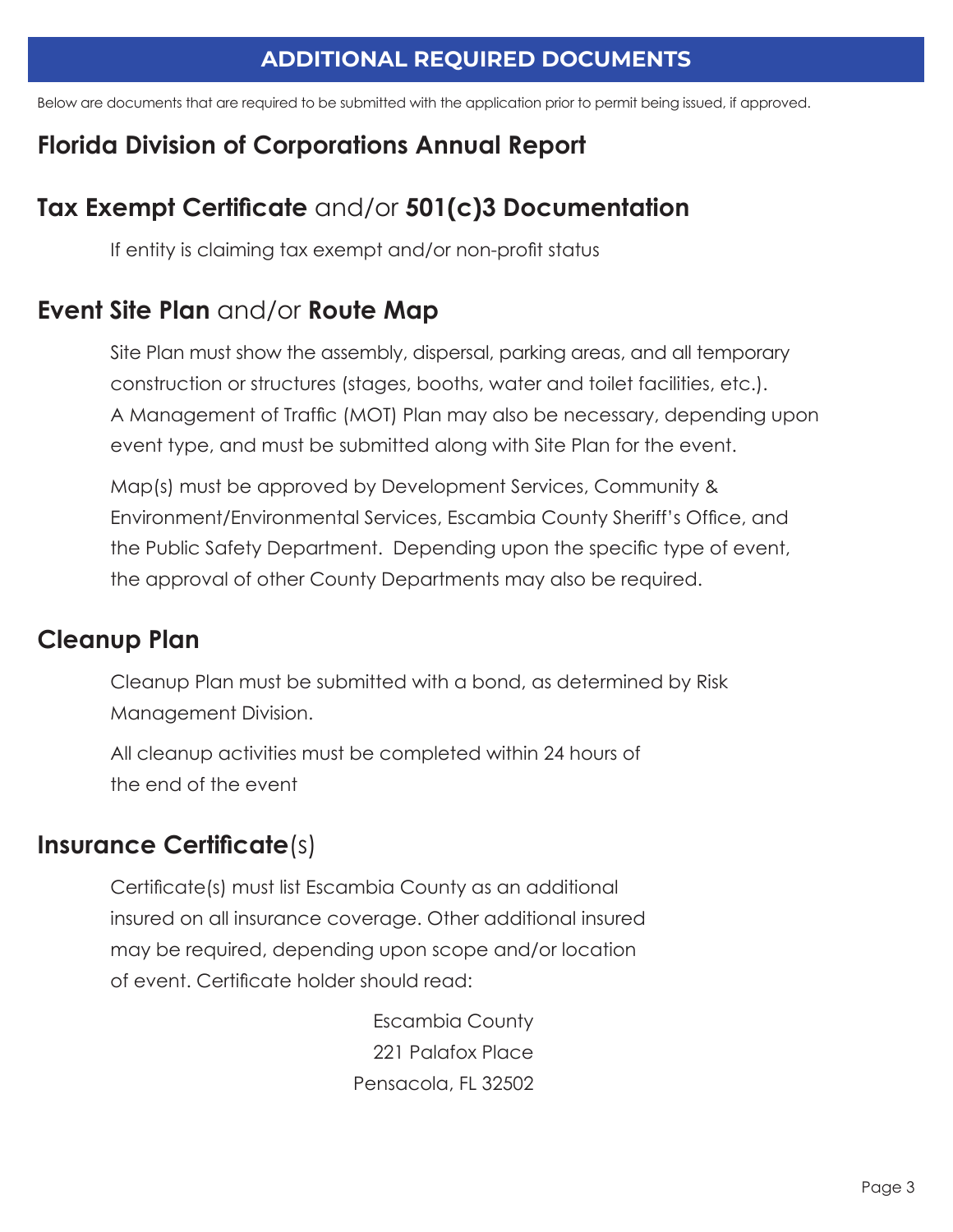## **ADDITIONAL REQUIRED DOCUMENTS**

Below are documents that are required to be submitted with the application prior to permit being issued, if approved.

# **Florida Division of Corporations Annual Report**

# **Tax Exempt Certificate** and/or **501(c)3 Documentation**

If entity is claiming tax exempt and/or non-profit status

## **Event Site Plan** and/or **Route Map**

 Site Plan must show the assembly, dispersal, parking areas, and all temporary construction or structures (stages, booths, water and toilet facilities, etc.). A Management of Traffic (MOT) Plan may also be necessary, depending upon event type, and must be submitted along with Site Plan for the event.

Map(s) must be approved by Development Services, Community & Environment/Environmental Services, Escambia County Sheriff's Office, and the Public Safety Department. Depending upon the specific type of event, the approval of other County Departments may also be required.

## **Cleanup Plan**

Cleanup Plan must be submitted with a bond, as determined by Risk Management Division.

All cleanup activities must be completed within 24 hours of the end of the event

## **Insurance Certificate**(s)

Certificate(s) must list Escambia County as an additional insured on all insurance coverage. Other additional insured may be required, depending upon scope and/or location of event. Certificate holder should read:

> Escambia County 221 Palafox Place Pensacola, FL 32502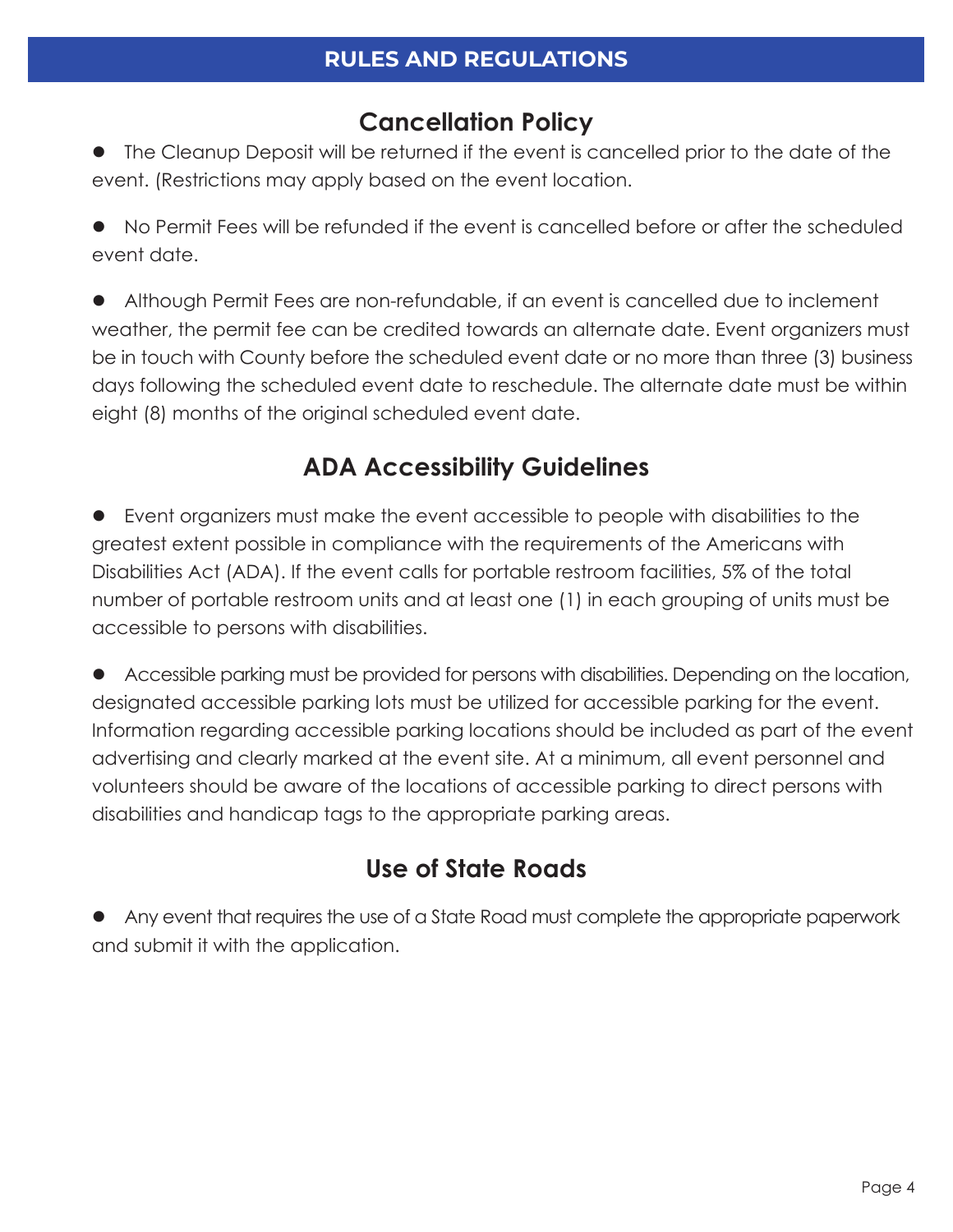# **Cancellation Policy**

• The Cleanup Deposit will be returned if the event is cancelled prior to the date of the event. (Restrictions may apply based on the event location.

 $\bullet$  No Permit Fees will be refunded if the event is cancelled before or after the scheduled event date.

• Although Permit Fees are non-refundable, if an event is cancelled due to inclement weather, the permit fee can be credited towards an alternate date. Event organizers must be in touch with County before the scheduled event date or no more than three (3) business days following the scheduled event date to reschedule. The alternate date must be within eight (8) months of the original scheduled event date.

# **ADA Accessibility Guidelines**

l Event organizers must make the event accessible to people with disabilities to the greatest extent possible in compliance with the requirements of the Americans with Disabilities Act (ADA). If the event calls for portable restroom facilities, 5% of the total number of portable restroom units and at least one (1) in each grouping of units must be accessible to persons with disabilities.

• Accessible parking must be provided for persons with disabilities. Depending on the location, designated accessible parking lots must be utilized for accessible parking for the event. Information regarding accessible parking locations should be included as part of the event advertising and clearly marked at the event site. At a minimum, all event personnel and volunteers should be aware of the locations of accessible parking to direct persons with disabilities and handicap tags to the appropriate parking areas.

# **Use of State Roads**

• Any event that requires the use of a State Road must complete the appropriate paperwork and submit it with the application.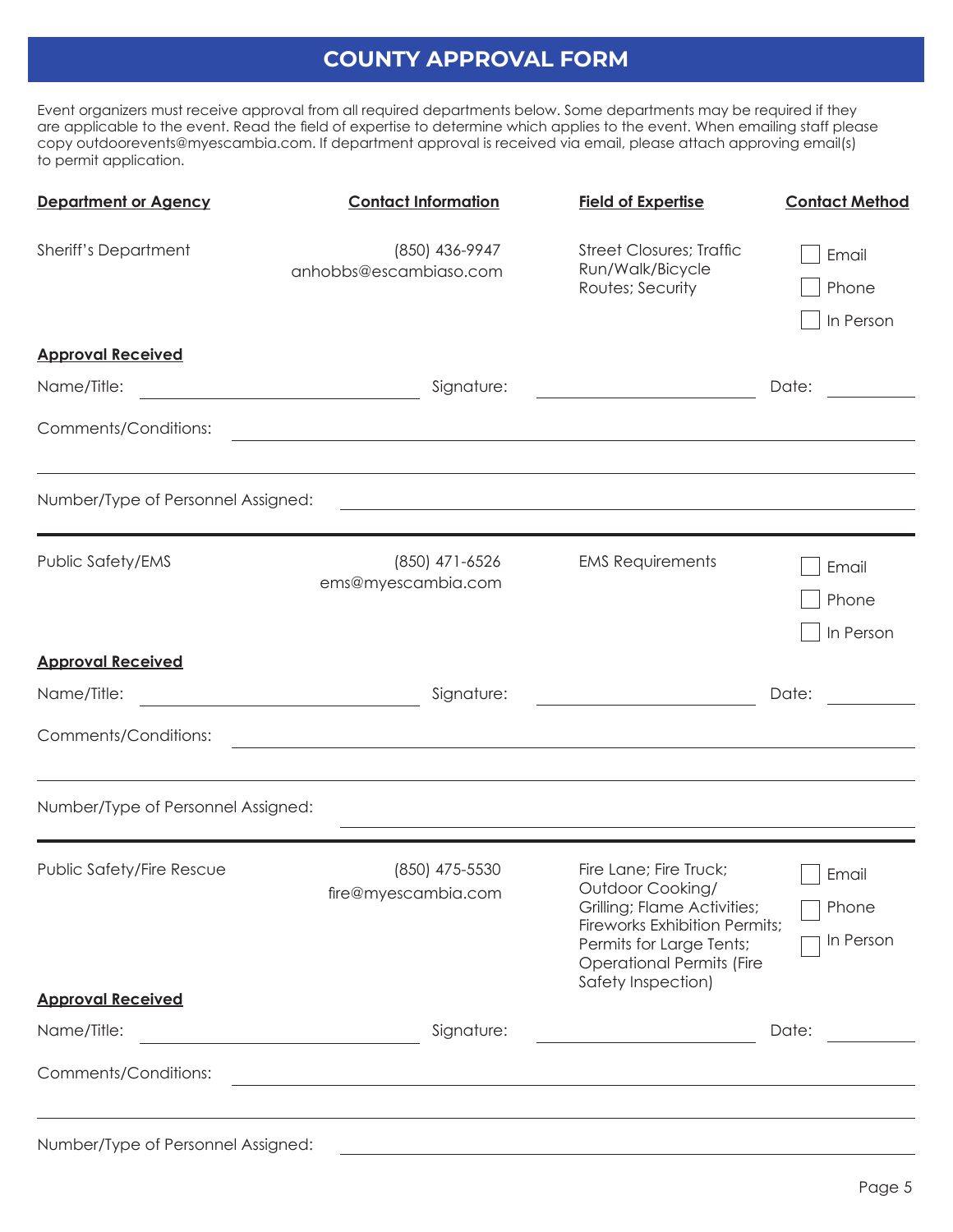## **COUNTY APPROVAL FORM**

Event organizers must receive approval from all required departments below. Some departments may be required if they are applicable to the event. Read the field of expertise to determine which applies to the event. When emailing staff please copy [outdoorevents@myescambia.com.](mailto:outdoorevents@myescambia.com) If department approval is received via email, please attach approving email(s) to permit application.

| <b>Department or Agency</b>                           | <b>Contact Information</b>                                                                                       | <b>Field of Expertise</b>                                                                                                                                                                               | <b>Contact Method</b>       |
|-------------------------------------------------------|------------------------------------------------------------------------------------------------------------------|---------------------------------------------------------------------------------------------------------------------------------------------------------------------------------------------------------|-----------------------------|
| <b>Sheriff's Department</b>                           | (850) 436-9947<br>anhobbs@escambiaso.com                                                                         | <b>Street Closures; Traffic</b><br>Run/Walk/Bicycle<br>Routes; Security                                                                                                                                 | Email<br>Phone<br>In Person |
| <b>Approval Received</b>                              |                                                                                                                  |                                                                                                                                                                                                         |                             |
| Name/Title:                                           | Signature:<br><u> 1989 - Johann Barbara, martxa amerikan per</u>                                                 |                                                                                                                                                                                                         | Date:                       |
| Comments/Conditions:                                  | <u> 1980 - Johann Stoff, amerikansk politiker (* 1908)</u>                                                       |                                                                                                                                                                                                         |                             |
| Number/Type of Personnel Assigned:                    |                                                                                                                  |                                                                                                                                                                                                         |                             |
| Public Safety/EMS                                     | (850) 471-6526<br>ems@myescambia.com                                                                             | <b>EMS Requirements</b>                                                                                                                                                                                 | Email<br>Phone<br>In Person |
| <b>Approval Received</b>                              |                                                                                                                  |                                                                                                                                                                                                         |                             |
| Name/Title:                                           | Signature:                                                                                                       |                                                                                                                                                                                                         | Date:                       |
| Comments/Conditions:                                  | and the control of the control of the control of the control of the control of the control of the control of the |                                                                                                                                                                                                         |                             |
| Number/Type of Personnel Assigned:                    |                                                                                                                  |                                                                                                                                                                                                         |                             |
| Public Safety/Fire Rescue<br><b>Approval Received</b> | (850) 475-5530<br>fire@myescambia.com                                                                            | Fire Lane; Fire Truck;<br>Outdoor Cooking/<br>Grilling; Flame Activities;<br><b>Fireworks Exhibition Permits;</b><br>Permits for Large Tents;<br><b>Operational Permits (Fire</b><br>Safety Inspection) | Email<br>Phone<br>In Person |
| Name/Title:                                           | Signature:                                                                                                       |                                                                                                                                                                                                         | Date:                       |
| Comments/Conditions:                                  | the control of the control of the control of the                                                                 |                                                                                                                                                                                                         |                             |
| Number/Type of Personnel Assigned:                    |                                                                                                                  |                                                                                                                                                                                                         |                             |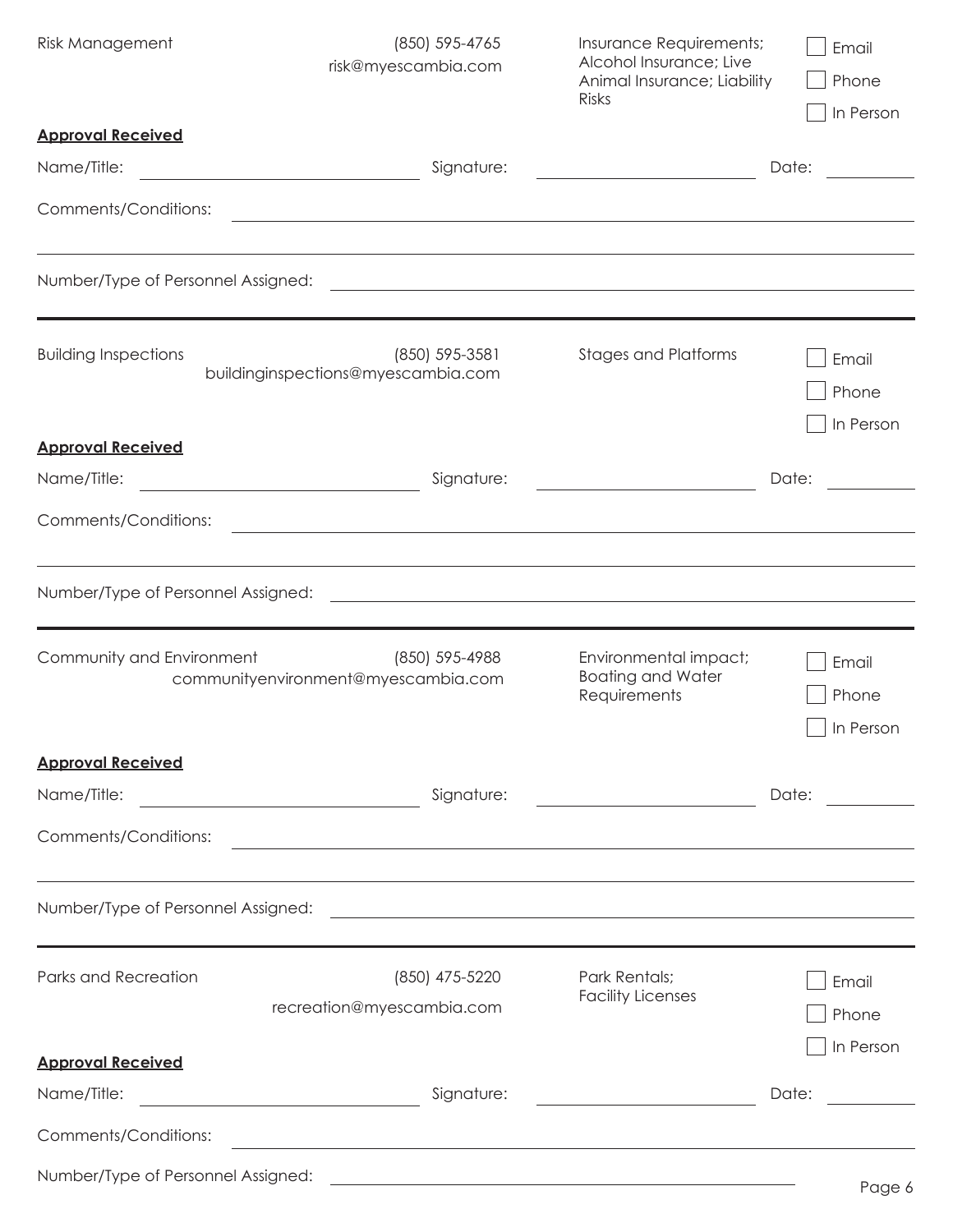| <b>Risk Management</b>                  | (850) 595-4765<br>risk@myescambia.com                                                                                              | Insurance Requirements;<br>Alcohol Insurance; Live<br>Animal Insurance; Liability<br><b>Risks</b>                                                                                                                                    | Email<br>Phone<br>In Person        |
|-----------------------------------------|------------------------------------------------------------------------------------------------------------------------------------|--------------------------------------------------------------------------------------------------------------------------------------------------------------------------------------------------------------------------------------|------------------------------------|
| <b>Approval Received</b><br>Name/Title: | Signature:<br><u> 1989 - Johann Barn, mars ann an t-Amhain Aonaich an t-Aonaich an t-Aonaich ann an t-Aonaich ann an t-Aonaich</u> |                                                                                                                                                                                                                                      | Date:                              |
| Comments/Conditions:                    |                                                                                                                                    | <u> 1989 - Andrea Santa Andrea Andrea Santa Andrea Andrea Andrea Andrea Andrea Andrea Andrea Andrea Andrea Andre</u>                                                                                                                 |                                    |
| Number/Type of Personnel Assigned:      |                                                                                                                                    | <u> 1989 - Andrea Station Barbara, actor a component de la componentación de la componentación de la componentaci</u>                                                                                                                |                                    |
| <b>Building Inspections</b>             | $(850)$ 595-3581<br>buildinginspections@myescambia.com                                                                             | <b>Stages and Platforms</b>                                                                                                                                                                                                          | Email<br>Phone<br>In Person        |
| <b>Approval Received</b><br>Name/Title: | Signature:<br><u> 1980 - Johann Barbara, martxa a</u>                                                                              |                                                                                                                                                                                                                                      | Date:                              |
| Comments/Conditions:                    |                                                                                                                                    | <u> 1989 - Johann Stoff, amerikansk politiker (* 1908)</u>                                                                                                                                                                           |                                    |
| Number/Type of Personnel Assigned:      |                                                                                                                                    | <u> 1989 - Johann Stoff, amerikansk politiker (* 1908)</u>                                                                                                                                                                           |                                    |
| Community and Environment               | (850) 595-4988<br>communityenvironment@myescambia.com                                                                              | Environmental impact;<br><b>Boating and Water</b><br>Requirements                                                                                                                                                                    | Email<br>Phone<br>$\Box$ In Person |
| <b>Approval Received</b>                |                                                                                                                                    |                                                                                                                                                                                                                                      |                                    |
| Name/Title:                             | Signature:                                                                                                                         | <u> 1980 - Johann Barn, fransk politik fotograf (d. 1980)</u>                                                                                                                                                                        | Date:                              |
| Comments/Conditions:                    |                                                                                                                                    | and the control of the control of the control of the control of the control of the control of the control of the                                                                                                                     |                                    |
| Number/Type of Personnel Assigned:      |                                                                                                                                    | <u> 1980 - Johann Barn, fransk politik amerikansk politik (</u>                                                                                                                                                                      |                                    |
| Parks and Recreation                    | (850) 475-5220<br>recreation@myescambia.com                                                                                        | Park Rentals;<br><b>Facility Licenses</b>                                                                                                                                                                                            | Email<br>Phone<br>In Person        |
| <b>Approval Received</b>                |                                                                                                                                    |                                                                                                                                                                                                                                      |                                    |
| Name/Title:                             | Signature:                                                                                                                         | <u> 1980 - Johann Barbara, martxa a</u>                                                                                                                                                                                              | Date:                              |
| Comments/Conditions:                    | <u> 1989 - Johann Stoff, deutscher Stoffen und der Stoffen und der Stoffen und der Stoffen und der Stoffen und der</u>             |                                                                                                                                                                                                                                      |                                    |
| Number/Type of Personnel Assigned:      |                                                                                                                                    | <u> 1989 - Johann Harry Harry Harry Harry Harry Harry Harry Harry Harry Harry Harry Harry Harry Harry Harry Harry Harry Harry Harry Harry Harry Harry Harry Harry Harry Harry Harry Harry Harry Harry Harry Harry Harry Harry Ha</u> | Page 6                             |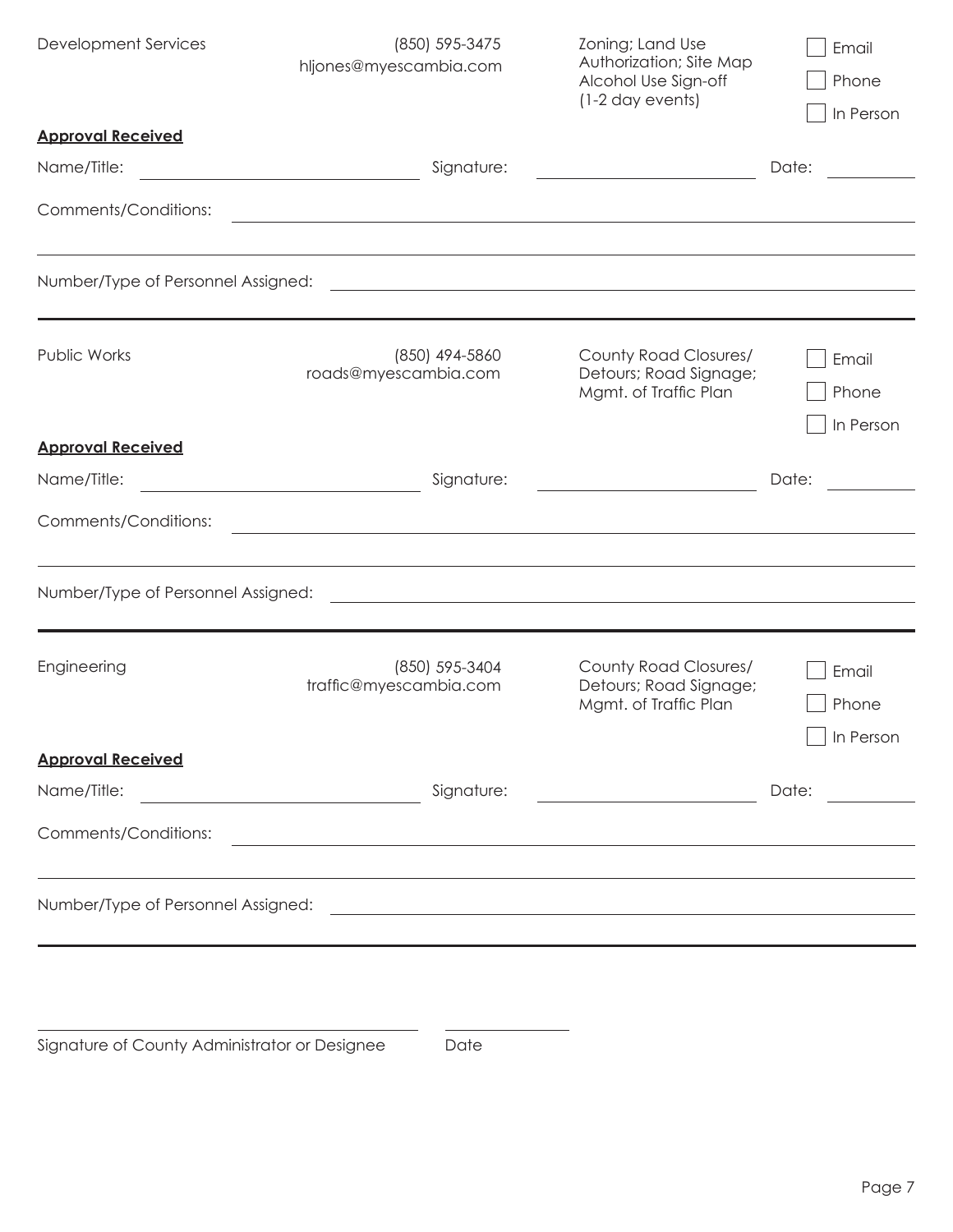| <b>Development Services</b>                                                                                                         | (850) 595-3475<br>hljones@myescambia.com                        | Zoning; Land Use<br>Authorization; Site Map<br>Alcohol Use Sign-off<br>(1-2 day events)                               | Email<br>Phone<br>In Person                |
|-------------------------------------------------------------------------------------------------------------------------------------|-----------------------------------------------------------------|-----------------------------------------------------------------------------------------------------------------------|--------------------------------------------|
| <b>Approval Received</b>                                                                                                            |                                                                 |                                                                                                                       |                                            |
| Name/Title:<br><u> 1989 - Johann Barn, mars ann an t-Amhain Aonaich an t-Aonaich an t-Aonaich ann an t-Aonaich ann an t-Aonaich</u> | Signature:                                                      |                                                                                                                       | Date:                                      |
| Comments/Conditions:                                                                                                                |                                                                 | <u> 1989 - Johann Stoff, deutscher Stoff, der Stoff, der Stoff, der Stoff, der Stoff, der Stoff, der Stoff, der S</u> |                                            |
|                                                                                                                                     |                                                                 |                                                                                                                       |                                            |
| Number/Type of Personnel Assigned:                                                                                                  |                                                                 |                                                                                                                       |                                            |
| Public Works                                                                                                                        | (850) 494-5860<br>roads@myescambia.com                          | County Road Closures/<br>Detours; Road Signage;<br>Mgmt. of Traffic Plan                                              | Email<br>Phone<br>In Person                |
| <b>Approval Received</b>                                                                                                            |                                                                 |                                                                                                                       |                                            |
| Name/Title:                                                                                                                         | Signature:<br><u> 1989 - Johann Barbara, martxa alemaniar a</u> |                                                                                                                       | Date:                                      |
| Comments/Conditions:                                                                                                                |                                                                 |                                                                                                                       |                                            |
| Number/Type of Personnel Assigned:                                                                                                  |                                                                 | <u> 1989 - Andrea Stadt Britain, fransk politik (f. 1989)</u>                                                         |                                            |
| Engineering                                                                                                                         | (850) 595-3404<br>traffic@myescambia.com                        | County Road Closures/<br>Detours; Road Signage;<br>Mgmt. of Traffic Plan                                              | Email<br>Phone<br>In Person                |
| <b>Approval Received</b>                                                                                                            |                                                                 |                                                                                                                       |                                            |
| Name/Title:<br><u> 1980 - Johann Barn, fransk politik (d. 1980)</u>                                                                 | Signature:                                                      |                                                                                                                       | Date:<br><u>and a strong to the strong</u> |
| Comments/Conditions:                                                                                                                |                                                                 | <u> 1989 - Johann Stoff, amerikansk politiker (d. 1989)</u>                                                           |                                            |
|                                                                                                                                     |                                                                 |                                                                                                                       |                                            |
|                                                                                                                                     |                                                                 |                                                                                                                       |                                            |

Signature of County Administrator or Designee Date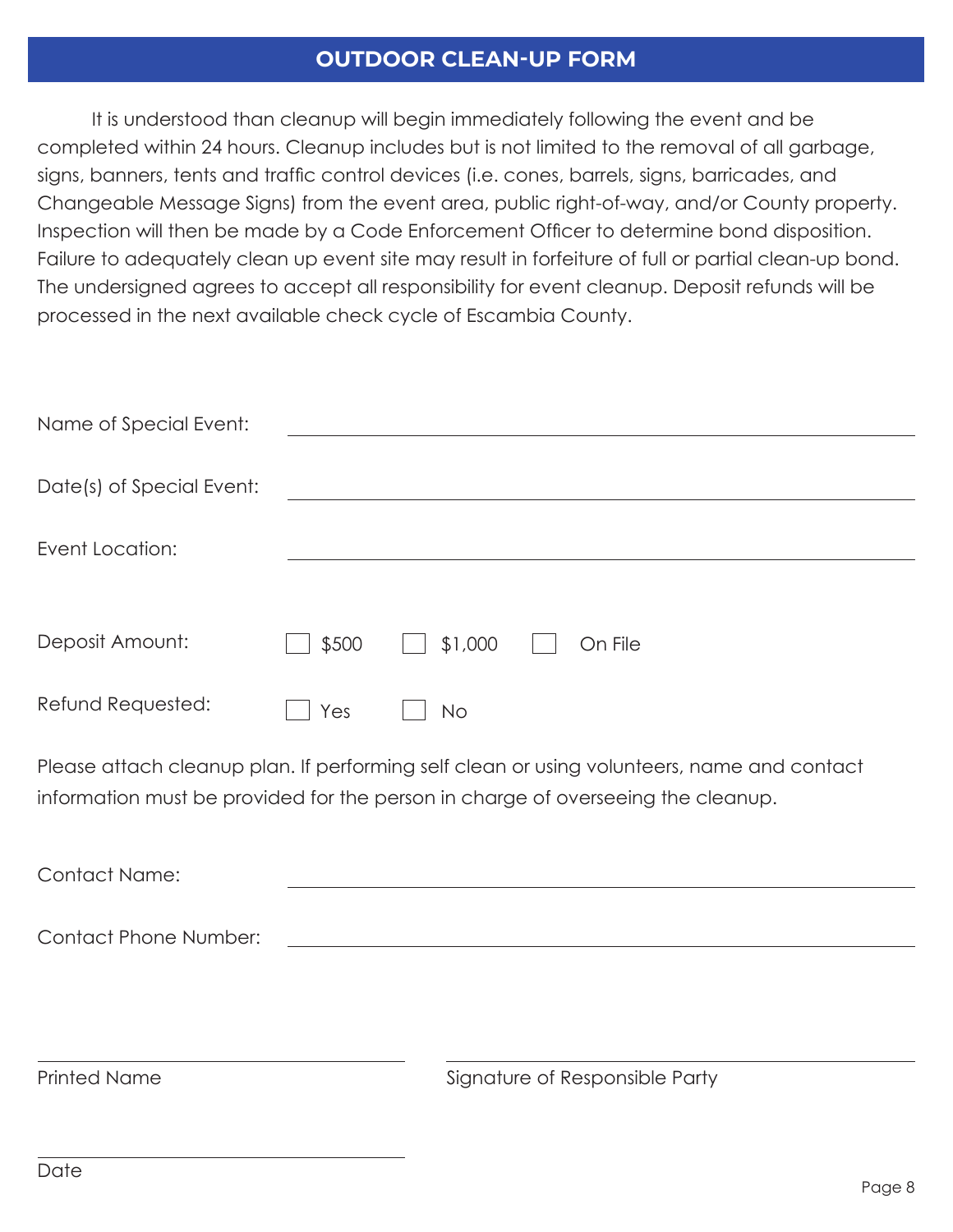### **OUTDOOR CLEAN-UP FORM**

It is understood than cleanup will begin immediately following the event and be completed within 24 hours. Cleanup includes but is not limited to the removal of all garbage, signs, banners, tents and traffic control devices (i.e. cones, barrels, signs, barricades, and Changeable Message Signs) from the event area, public right-of-way, and/or County property. Inspection will then be made by a Code Enforcement Officer to determine bond disposition. Failure to adequately clean up event site may result in forfeiture of full or partial clean-up bond. The undersigned agrees to accept all responsibility for event cleanup. Deposit refunds will be processed in the next available check cycle of Escambia County.

| Yes | <b>No</b> |         |         |  |
|-----|-----------|---------|---------|--|
|     | \$500     | \$1,000 | On File |  |

Please attach cleanup plan. If performing self clean or using volunteers, name and contact information must be provided for the person in charge of overseeing the cleanup.

| <b>Contact Name:</b>         |                                |
|------------------------------|--------------------------------|
| <b>Contact Phone Number:</b> |                                |
|                              |                                |
|                              |                                |
| <b>Printed Name</b>          | Signature of Responsible Party |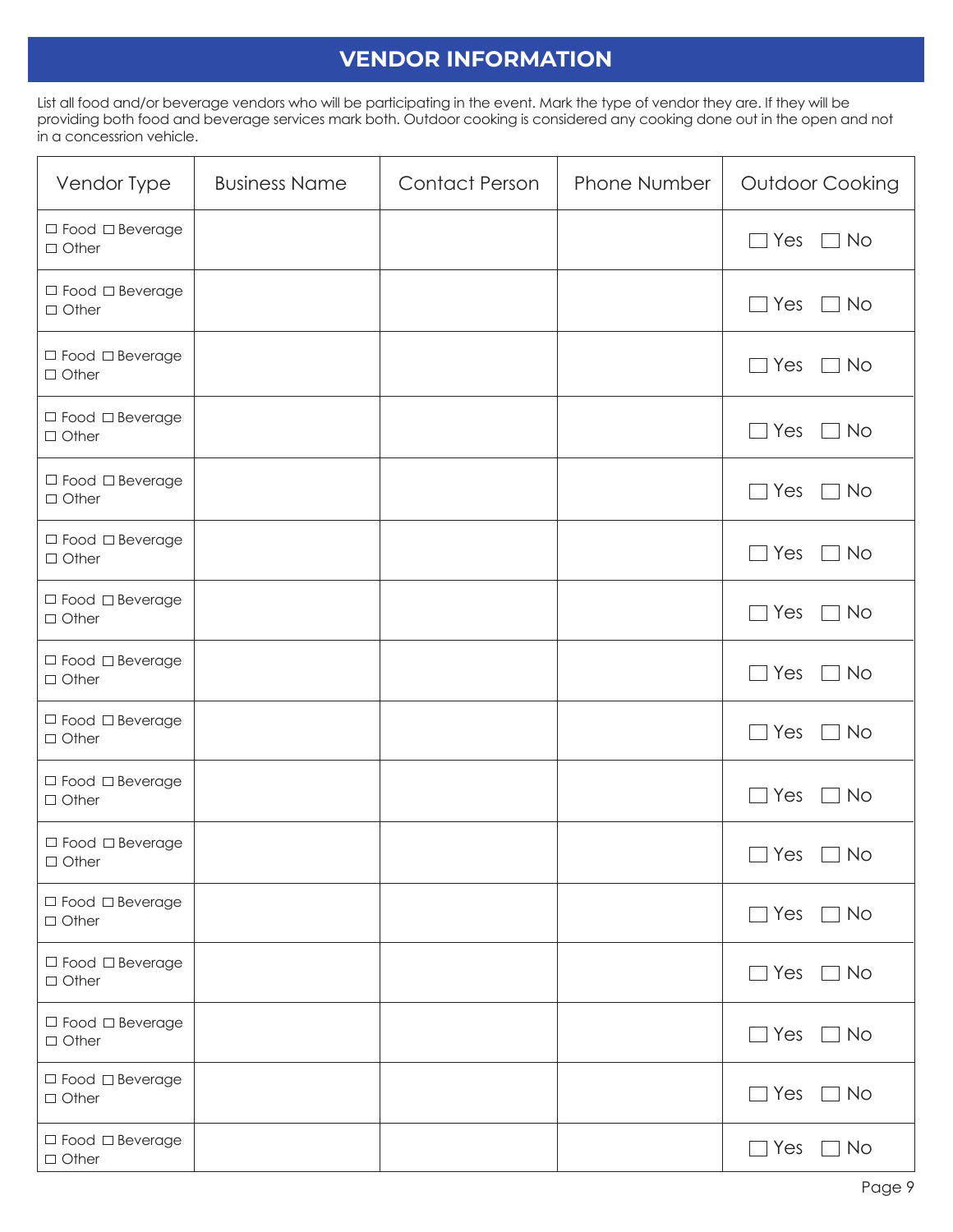# **VENDOR INFORMATION**

List all food and/or beverage vendors who will be participating in the event. Mark the type of vendor they are. If they will be providing both food and beverage services mark both. Outdoor cooking is considered any cooking done out in the open and not in a concessrion vehicle.

| Vendor Type                                 | <b>Business Name</b> | <b>Contact Person</b> | Phone Number | Outdoor Cooking                              |
|---------------------------------------------|----------------------|-----------------------|--------------|----------------------------------------------|
| $\Box$ Food $\Box$ Beverage<br>$\Box$ Other |                      |                       |              | Yes<br>$\Box$ No<br>$\overline{\phantom{a}}$ |
| $\Box$ Food $\Box$ Beverage<br>$\Box$ Other |                      |                       |              | Yes<br>$\Box$ No                             |
| $\Box$ Food $\Box$ Beverage<br>$\Box$ Other |                      |                       |              | Yes<br><b>No</b>                             |
| $\Box$ Food $\Box$ Beverage<br>$\Box$ Other |                      |                       |              | Yes<br>No                                    |
| $\Box$ Food $\Box$ Beverage<br>$\Box$ Other |                      |                       |              | Yes<br>$\Box$ No                             |
| $\Box$ Food $\Box$ Beverage<br>$\Box$ Other |                      |                       |              | $\Box$ Yes<br>$\Box$ No                      |
| $\Box$ Food $\Box$ Beverage<br>$\Box$ Other |                      |                       |              | $\Box$ Yes<br>$\Box$ No                      |
| $\Box$ Food $\Box$ Beverage<br>$\Box$ Other |                      |                       |              | Yes<br><b>No</b>                             |
| $\Box$ Food $\Box$ Beverage<br>$\Box$ Other |                      |                       |              | Yes<br>$\Box$ No                             |
| $\Box$ Food $\Box$ Beverage<br>$\Box$ Other |                      |                       |              | Yes<br><b>No</b>                             |
| $\Box$ Food $\Box$ Beverage<br>$\Box$ Other |                      |                       |              | $\Box$ Yes $\Box$ No                         |
| $\Box$ Food $\Box$ Beverage<br>$\Box$ Other |                      |                       |              | $\Box$ Yes $\Box$ No                         |
| $\Box$ Food $\Box$ Beverage<br>$\Box$ Other |                      |                       |              | $\Box$ Yes $\Box$ No                         |
| $\Box$ Food $\Box$ Beverage<br>$\Box$ Other |                      |                       |              | $\Box$ Yes $\Box$ No                         |
| $\Box$ Food $\Box$ Beverage<br>$\Box$ Other |                      |                       |              | $\Box$ Yes<br>$\Box$ No                      |
| $\Box$ Food $\Box$ Beverage<br>$\Box$ Other |                      |                       |              | $\Box$ Yes $\Box$ No                         |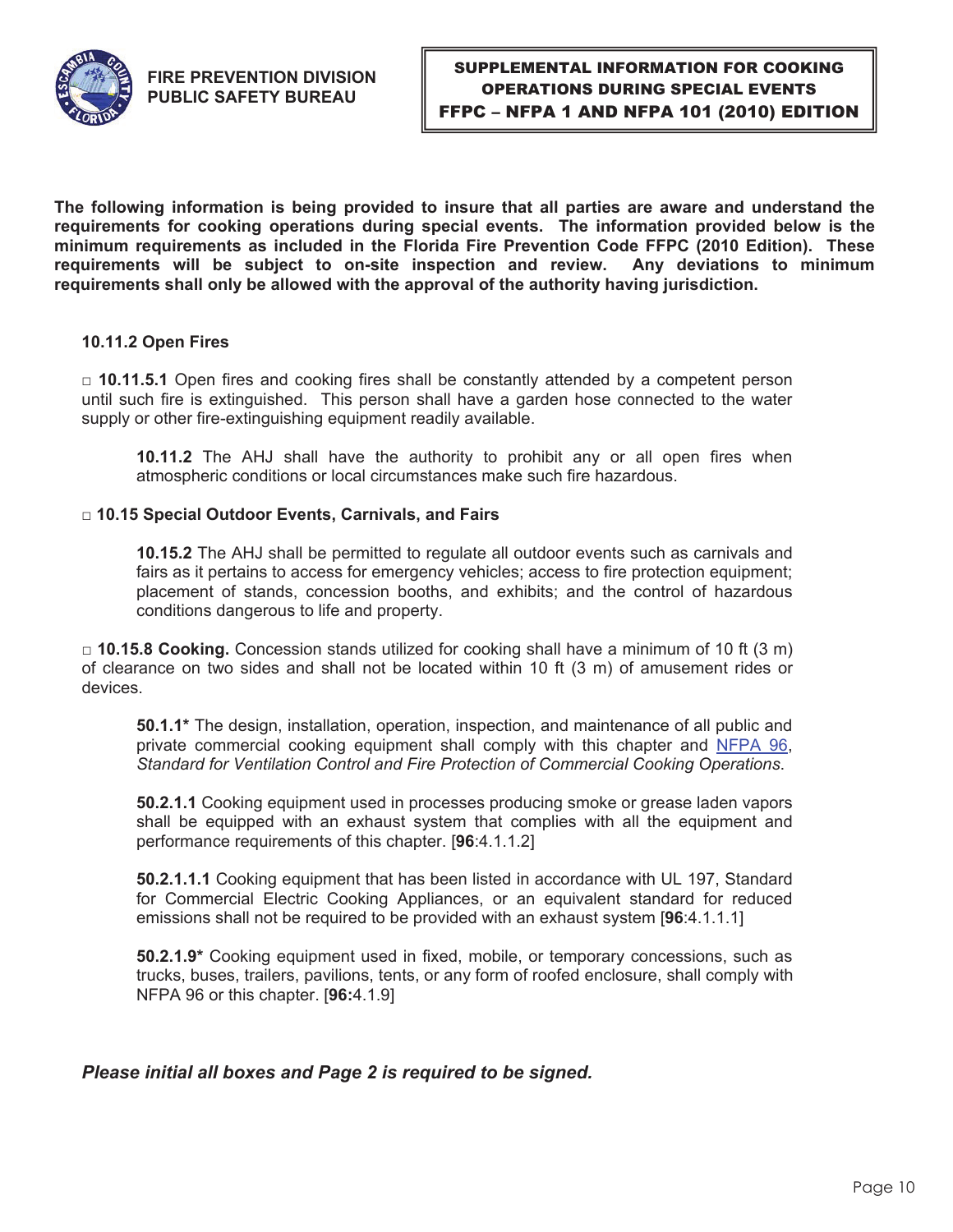

**The following information is being provided to insure that all parties are aware and understand the requirements for cooking operations during special events. The information provided below is the minimum requirements as included in the Florida Fire Prevention Code FFPC (2010 Edition). These**  requirements will be subject to on-site inspection and review. **requirements shall only be allowed with the approval of the authority having jurisdiction.** 

#### **10.11.2 Open Fires**

□ 10.11.5.1 Open fires and cooking fires shall be constantly attended by a competent person until such fire is extinguished. This person shall have a garden hose connected to the water supply or other fire-extinguishing equipment readily available.

**10.11.2** The AHJ shall have the authority to prohibit any or all open fires when atmospheric conditions or local circumstances make such fire hazardous.

#### □ 10.15 Special Outdoor Events, Carnivals, and Fairs

**10.15.2** The AHJ shall be permitted to regulate all outdoor events such as carnivals and fairs as it pertains to access for emergency vehicles; access to fire protection equipment; placement of stands, concession booths, and exhibits; and the control of hazardous conditions dangerous to life and property.

 □ **10.15.8 Cooking.** Concession stands utilized for cooking shall have a minimum of 10 ft (3 m) of clearance on two sides and shall not be located within 10 ft (3 m) of amusement rides or devices.

**50.1.1\*** The design, installation, operation, inspection, and maintenance of all public and private commercial cooking equipment shall comply with this chapter and NFPA 96, *Standard for Ventilation Control and Fire Protection of Commercial Cooking Operations*.

**50.2.1.1** Cooking equipment used in processes producing smoke or grease laden vapors shall be equipped with an exhaust system that complies with all the equipment and performance requirements of this chapter. [**96**:4.1.1.2]

**50.2.1.1.1** Cooking equipment that has been listed in accordance with UL 197, Standard for Commercial Electric Cooking Appliances, or an equivalent standard for reduced emissions shall not be required to be provided with an exhaust system [**96**:4.1.1.1]

 NFPA 96 or this chapter. [**96:**4.1.9] **50.2.1.9\*** Cooking equipment used in fixed, mobile, or temporary concessions, such as trucks, buses, trailers, pavilions, tents, or any form of roofed enclosure, shall comply with

#### *Please initial all boxes and Page 2 is required to be signed.*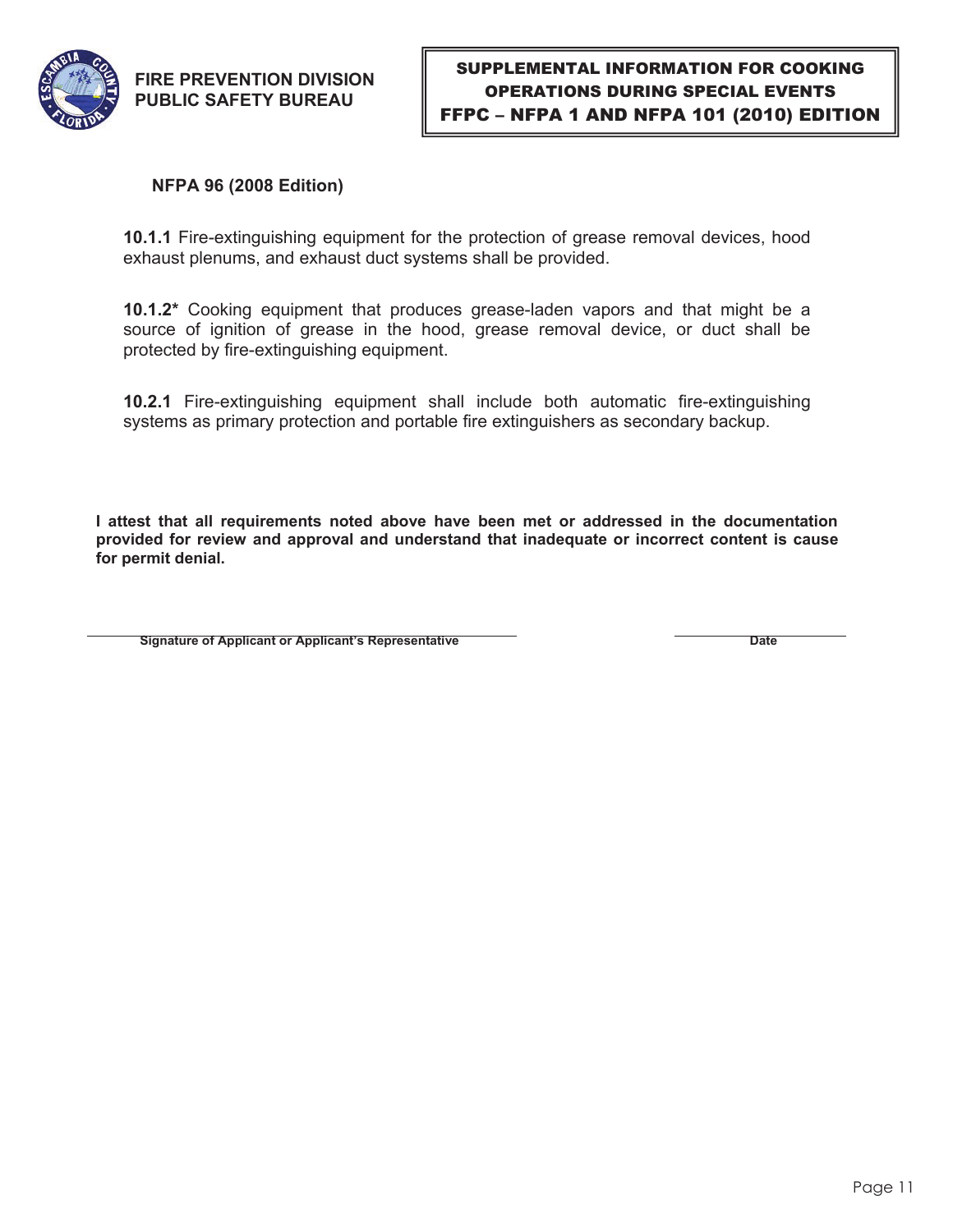

### **NFPA 96 (2008 Edition)**

**10.1.1** Fire-extinguishing equipment for the protection of grease removal devices, hood exhaust plenums, and exhaust duct systems shall be provided.

**10.1.2\*** Cooking equipment that produces grease-laden vapors and that might be a source of ignition of grease in the hood, grease removal device, or duct shall be protected by fire-extinguishing equipment.

**10.2.1** Fire-extinguishing equipment shall include both automatic fire-extinguishing systems as primary protection and portable fire extinguishers as secondary backup.

**I attest that all requirements noted above have been met or addressed in the documentation provided for review and approval and understand that inadequate or incorrect content is cause for permit denial.** 

**Signature of Applicant or Applicant's Representative Contract Contract Contract Contract Date Date**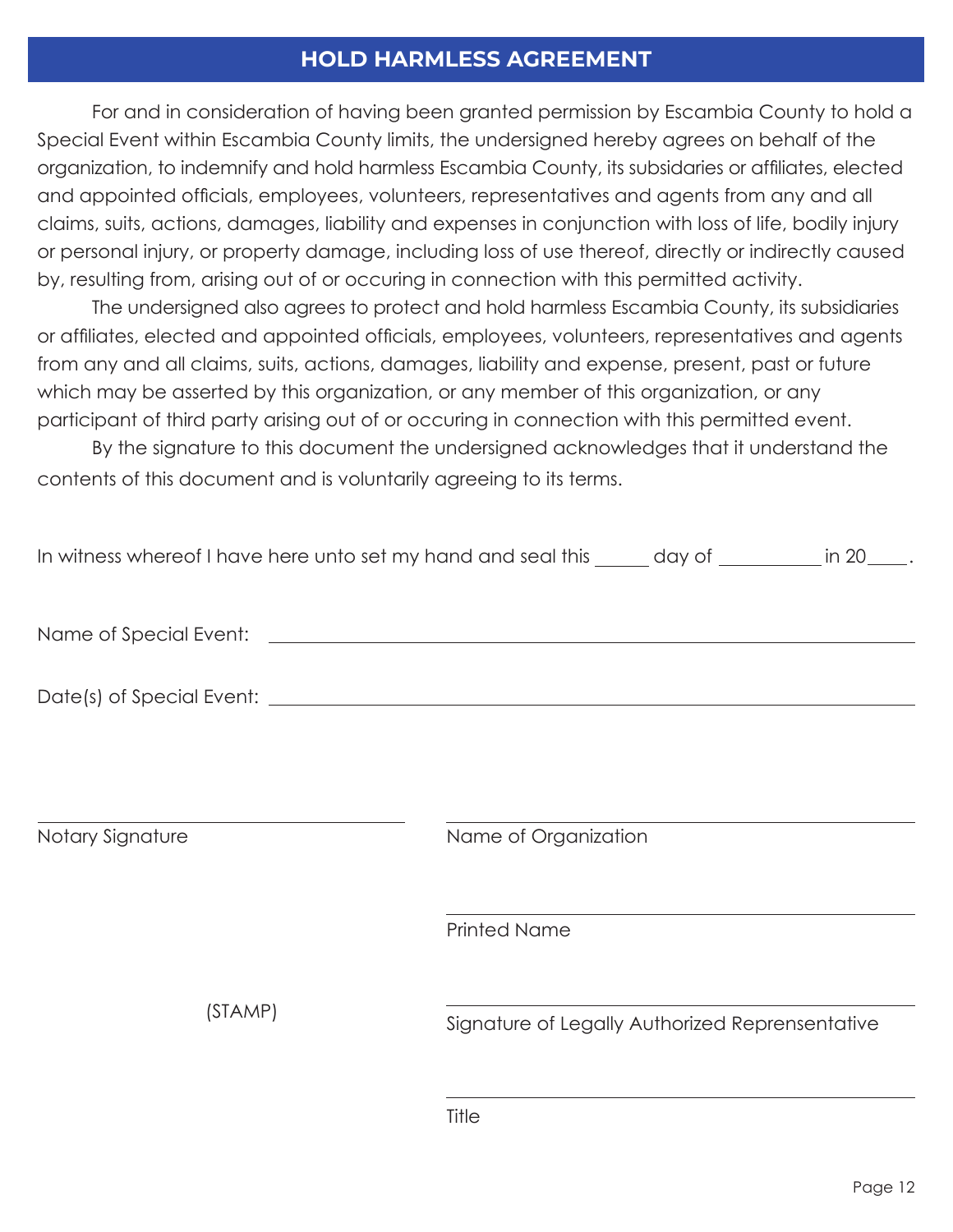## **HOLD HARMLESS AGREEMENT**

For and in consideration of having been granted permission by Escambia County to hold a Special Event within Escambia County limits, the undersigned hereby agrees on behalf of the organization, to indemnify and hold harmless Escambia County, its subsidaries or affiliates, elected and appointed officials, employees, volunteers, representatives and agents from any and all claims, suits, actions, damages, liability and expenses in conjunction with loss of life, bodily injury or personal injury, or property damage, including loss of use thereof, directly or indirectly caused by, resulting from, arising out of or occuring in connection with this permitted activity.

The undersigned also agrees to protect and hold harmless Escambia County, its subsidiaries or affiliates, elected and appointed officials, employees, volunteers, representatives and agents from any and all claims, suits, actions, damages, liability and expense, present, past or future which may be asserted by this organization, or any member of this organization, or any participant of third party arising out of or occuring in connection with this permitted event.

By the signature to this document the undersigned acknowledges that it understand the contents of this document and is voluntarily agreeing to its terms.

| In witness whereof I have here unto set my hand and seal this _____ day of ________ in 20____. |                                                 |  |  |  |
|------------------------------------------------------------------------------------------------|-------------------------------------------------|--|--|--|
|                                                                                                |                                                 |  |  |  |
|                                                                                                |                                                 |  |  |  |
|                                                                                                |                                                 |  |  |  |
|                                                                                                |                                                 |  |  |  |
| Notary Signature                                                                               | Name of Organization                            |  |  |  |
|                                                                                                | <b>Printed Name</b>                             |  |  |  |
| (STAMP)                                                                                        | Signature of Legally Authorized Reprensentative |  |  |  |